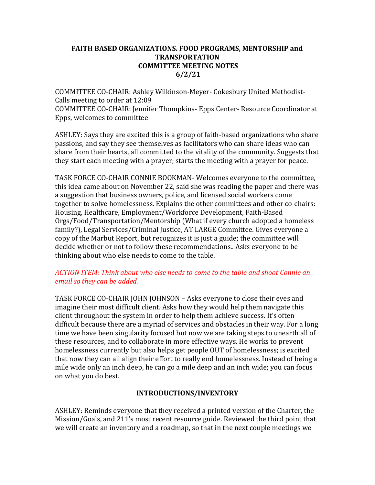### FAITH BASED ORGANIZATIONS. FOOD PROGRAMS, MENTORSHIP and TRANSPORTATION COMMITTEE MEETING NOTES 6/2/21

COMMITTEE CO-CHAIR: Ashley Wilkinson-Meyer- Cokesbury United Methodist-Calls meeting to order at 12:09

COMMITTEE CO-CHAIR: Jennifer Thompkins- Epps Center- Resource Coordinator at Epps, welcomes to committee

ASHLEY: Says they are excited this is a group of faith-based organizations who share passions, and say they see themselves as facilitators who can share ideas who can share from their hearts, all committed to the vitality of the community. Suggests that they start each meeting with a prayer; starts the meeting with a prayer for peace.

TASK FORCE CO-CHAIR CONNIE BOOKMAN- Welcomes everyone to the committee, this idea came about on November 22, said she was reading the paper and there was a suggestion that business owners, police, and licensed social workers come together to solve homelessness. Explains the other committees and other co-chairs: Housing, Healthcare, Employment/Workforce Development, Faith-Based Orgs/Food/Transportation/Mentorship (What if every church adopted a homeless family?), Legal Services/Criminal Justice, AT LARGE Committee. Gives everyone a copy of the Marbut Report, but recognizes it is just a guide; the committee will decide whether or not to follow these recommendations.. Asks everyone to be thinking about who else needs to come to the table.

# ACTION ITEM: Think about who else needs to come to the table and shoot Connie an email so they can be added.

TASK FORCE CO-CHAIR JOHN JOHNSON – Asks everyone to close their eyes and imagine their most difficult client. Asks how they would help them navigate this client throughout the system in order to help them achieve success. It's often difficult because there are a myriad of services and obstacles in their way. For a long time we have been singularity focused but now we are taking steps to unearth all of these resources, and to collaborate in more effective ways. He works to prevent homelessness currently but also helps get people OUT of homelessness; is excited that now they can all align their effort to really end homelessness. Instead of being a mile wide only an inch deep, he can go a mile deep and an inch wide; you can focus on what you do best.

# INTRODUCTIONS/INVENTORY

ASHLEY: Reminds everyone that they received a printed version of the Charter, the Mission/Goals, and 211's most recent resource guide. Reviewed the third point that we will create an inventory and a roadmap, so that in the next couple meetings we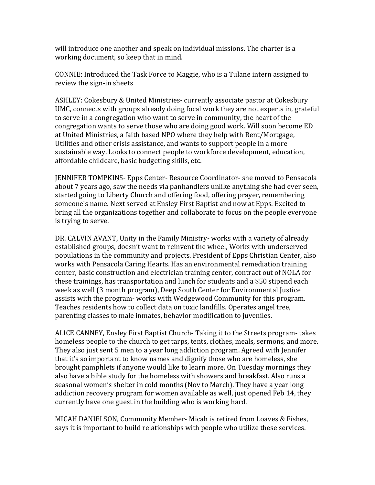will introduce one another and speak on individual missions. The charter is a working document, so keep that in mind.

CONNIE: Introduced the Task Force to Maggie, who is a Tulane intern assigned to review the sign-in sheets

ASHLEY: Cokesbury & United Ministries- currently associate pastor at Cokesbury UMC, connects with groups already doing focal work they are not experts in, grateful to serve in a congregation who want to serve in community, the heart of the congregation wants to serve those who are doing good work. Will soon become ED at United Ministries, a faith based NPO where they help with Rent/Mortgage, Utilities and other crisis assistance, and wants to support people in a more sustainable way. Looks to connect people to workforce development, education, affordable childcare, basic budgeting skills, etc.

JENNIFER TOMPKINS- Epps Center- Resource Coordinator- she moved to Pensacola about 7 years ago, saw the needs via panhandlers unlike anything she had ever seen, started going to Liberty Church and offering food, offering prayer, remembering someone's name. Next served at Ensley First Baptist and now at Epps. Excited to bring all the organizations together and collaborate to focus on the people everyone is trying to serve.

DR. CALVIN AVANT, Unity in the Family Ministry- works with a variety of already established groups, doesn't want to reinvent the wheel, Works with underserved populations in the community and projects. President of Epps Christian Center, also works with Pensacola Caring Hearts. Has an environmental remediation training center, basic construction and electrician training center, contract out of NOLA for these trainings, has transportation and lunch for students and a \$50 stipend each week as well (3 month program), Deep South Center for Environmental Justice assists with the program- works with Wedgewood Community for this program. Teaches residents how to collect data on toxic landfills. Operates angel tree, parenting classes to male inmates, behavior modification to juveniles.

ALICE CANNEY, Ensley First Baptist Church- Taking it to the Streets program- takes homeless people to the church to get tarps, tents, clothes, meals, sermons, and more. They also just sent 5 men to a year long addiction program. Agreed with Jennifer that it's so important to know names and dignify those who are homeless, she brought pamphlets if anyone would like to learn more. On Tuesday mornings they also have a bible study for the homeless with showers and breakfast. Also runs a seasonal women's shelter in cold months (Nov to March). They have a year long addiction recovery program for women available as well, just opened Feb 14, they currently have one guest in the building who is working hard.

MICAH DANIELSON, Community Member- Micah is retired from Loaves & Fishes, says it is important to build relationships with people who utilize these services.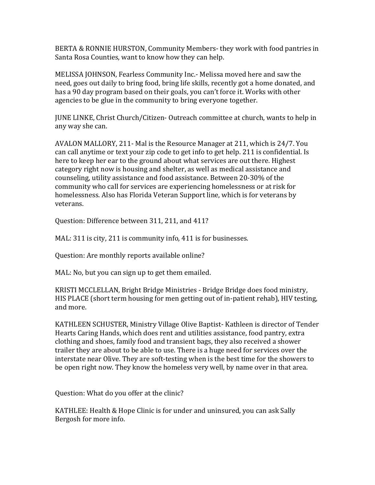BERTA & RONNIE HURSTON, Community Members- they work with food pantries in Santa Rosa Counties, want to know how they can help.

MELISSA JOHNSON, Fearless Community Inc.- Melissa moved here and saw the need, goes out daily to bring food, bring life skills, recently got a home donated, and has a 90 day program based on their goals, you can't force it. Works with other agencies to be glue in the community to bring everyone together.

JUNE LINKE, Christ Church/Citizen- Outreach committee at church, wants to help in any way she can.

AVALON MALLORY, 211- Mal is the Resource Manager at 211, which is 24/7. You can call anytime or text your zip code to get info to get help. 211 is confidential. Is here to keep her ear to the ground about what services are out there. Highest category right now is housing and shelter, as well as medical assistance and counseling, utility assistance and food assistance. Between 20-30% of the community who call for services are experiencing homelessness or at risk for homelessness. Also has Florida Veteran Support line, which is for veterans by veterans.

Question: Difference between 311, 211, and 411?

MAL: 311 is city, 211 is community info, 411 is for businesses.

Question: Are monthly reports available online?

MAL: No, but you can sign up to get them emailed.

KRISTI MCCLELLAN, Bright Bridge Ministries - Bridge Bridge does food ministry, HIS PLACE (short term housing for men getting out of in-patient rehab), HIV testing, and more.

KATHLEEN SCHUSTER, Ministry Village Olive Baptist- Kathleen is director of Tender Hearts Caring Hands, which does rent and utilities assistance, food pantry, extra clothing and shoes, family food and transient bags, they also received a shower trailer they are about to be able to use. There is a huge need for services over the interstate near Olive. They are soft-testing when is the best time for the showers to be open right now. They know the homeless very well, by name over in that area.

Question: What do you offer at the clinic?

KATHLEE: Health & Hope Clinic is for under and uninsured, you can ask Sally Bergosh for more info.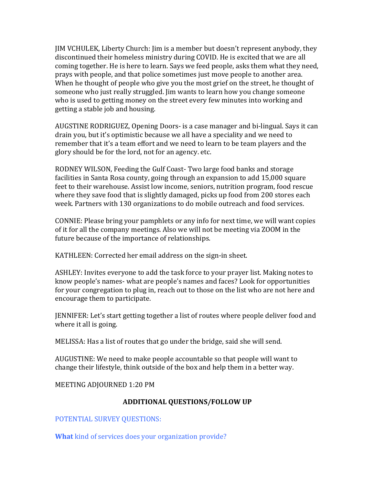JIM VCHULEK, Liberty Church: Jim is a member but doesn't represent anybody, they discontinued their homeless ministry during COVID. He is excited that we are all coming together. He is here to learn. Says we feed people, asks them what they need, prays with people, and that police sometimes just move people to another area. When he thought of people who give you the most grief on the street, he thought of someone who just really struggled. Jim wants to learn how you change someone who is used to getting money on the street every few minutes into working and getting a stable job and housing.

AUGSTINE RODRIGUEZ, Opening Doors- is a case manager and bi-lingual. Says it can drain you, but it's optimistic because we all have a speciality and we need to remember that it's a team effort and we need to learn to be team players and the glory should be for the lord, not for an agency. etc.

RODNEY WILSON, Feeding the Gulf Coast- Two large food banks and storage facilities in Santa Rosa county, going through an expansion to add 15,000 square feet to their warehouse. Assist low income, seniors, nutrition program, food rescue where they save food that is slightly damaged, picks up food from 200 stores each week. Partners with 130 organizations to do mobile outreach and food services.

CONNIE: Please bring your pamphlets or any info for next time, we will want copies of it for all the company meetings. Also we will not be meeting via ZOOM in the future because of the importance of relationships.

KATHLEEN: Corrected her email address on the sign-in sheet.

ASHLEY: Invites everyone to add the task force to your prayer list. Making notes to know people's names- what are people's names and faces? Look for opportunities for your congregation to plug in, reach out to those on the list who are not here and encourage them to participate.

JENNIFER: Let's start getting together a list of routes where people deliver food and where it all is going.

MELISSA: Has a list of routes that go under the bridge, said she will send.

AUGUSTINE: We need to make people accountable so that people will want to change their lifestyle, think outside of the box and help them in a better way.

MEETING ADJOURNED 1:20 PM

# ADDITIONAL QUESTIONS/FOLLOW UP

POTENTIAL SURVEY QUESTIONS:

What kind of services does your organization provide?